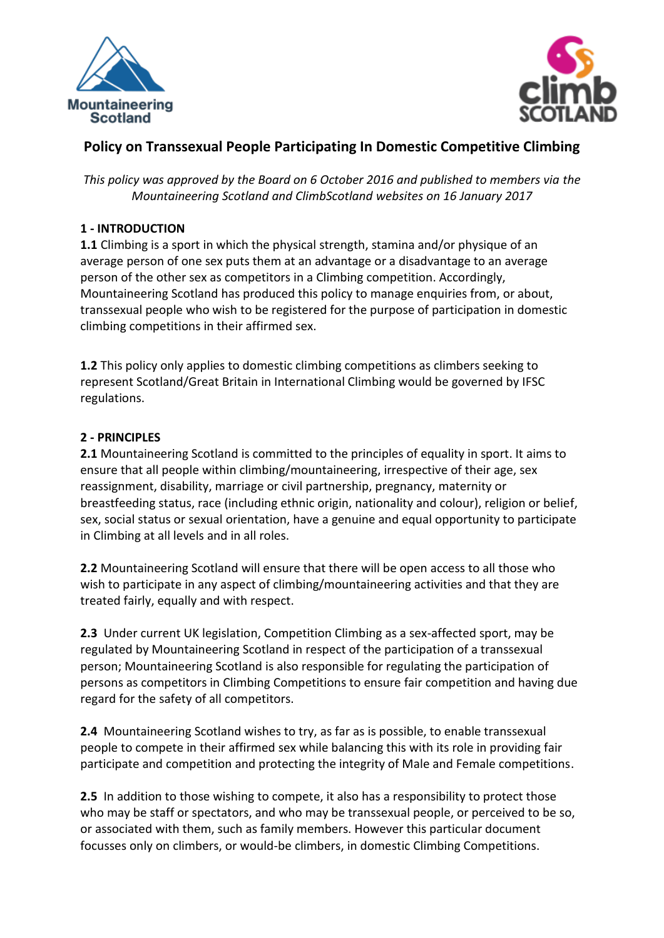



# **Policy on Transsexual People Participating In Domestic Competitive Climbing**

*This policy was approved by the Board on 6 October 2016 and published to members via the Mountaineering Scotland and ClimbScotland websites on 16 January 2017*

### **1 - INTRODUCTION**

**1.1** Climbing is a sport in which the physical strength, stamina and/or physique of an average person of one sex puts them at an advantage or a disadvantage to an average person of the other sex as competitors in a Climbing competition. Accordingly, Mountaineering Scotland has produced this policy to manage enquiries from, or about, transsexual people who wish to be registered for the purpose of participation in domestic climbing competitions in their affirmed sex.

**1.2** This policy only applies to domestic climbing competitions as climbers seeking to represent Scotland/Great Britain in International Climbing would be governed by IFSC regulations.

### **2 - PRINCIPLES**

**2.1** Mountaineering Scotland is committed to the principles of equality in sport. It aims to ensure that all people within climbing/mountaineering, irrespective of their age, sex reassignment, disability, marriage or civil partnership, pregnancy, maternity or breastfeeding status, race (including ethnic origin, nationality and colour), religion or belief, sex, social status or sexual orientation, have a genuine and equal opportunity to participate in Climbing at all levels and in all roles.

**2.2** Mountaineering Scotland will ensure that there will be open access to all those who wish to participate in any aspect of climbing/mountaineering activities and that they are treated fairly, equally and with respect.

**2.3** Under current UK legislation, Competition Climbing as a sex-affected sport, may be regulated by Mountaineering Scotland in respect of the participation of a transsexual person; Mountaineering Scotland is also responsible for regulating the participation of persons as competitors in Climbing Competitions to ensure fair competition and having due regard for the safety of all competitors.

**2.4** Mountaineering Scotland wishes to try, as far as is possible, to enable transsexual people to compete in their affirmed sex while balancing this with its role in providing fair participate and competition and protecting the integrity of Male and Female competitions.

**2.5** In addition to those wishing to compete, it also has a responsibility to protect those who may be staff or spectators, and who may be transsexual people, or perceived to be so, or associated with them, such as family members. However this particular document focusses only on climbers, or would-be climbers, in domestic Climbing Competitions.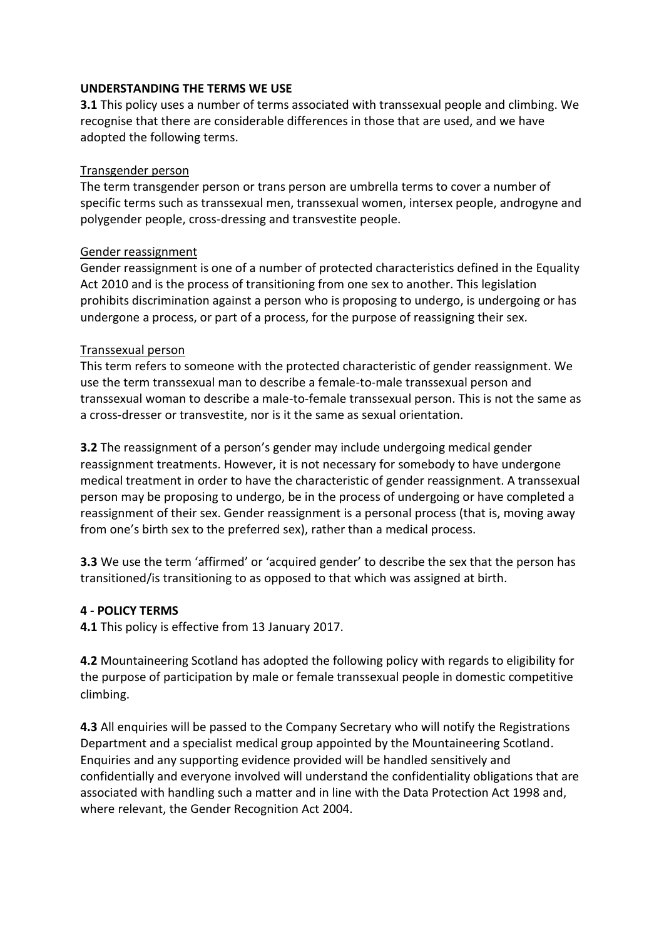#### **UNDERSTANDING THE TERMS WE USE**

**3.1** This policy uses a number of terms associated with transsexual people and climbing. We recognise that there are considerable differences in those that are used, and we have adopted the following terms.

#### Transgender person

The term transgender person or trans person are umbrella terms to cover a number of specific terms such as transsexual men, transsexual women, intersex people, androgyne and polygender people, cross-dressing and transvestite people.

### Gender reassignment

Gender reassignment is one of a number of protected characteristics defined in the Equality Act 2010 and is the process of transitioning from one sex to another. This legislation prohibits discrimination against a person who is proposing to undergo, is undergoing or has undergone a process, or part of a process, for the purpose of reassigning their sex.

#### Transsexual person

This term refers to someone with the protected characteristic of gender reassignment. We use the term transsexual man to describe a female-to-male transsexual person and transsexual woman to describe a male-to-female transsexual person. This is not the same as a cross-dresser or transvestite, nor is it the same as sexual orientation.

**3.2** The reassignment of a person's gender may include undergoing medical gender reassignment treatments. However, it is not necessary for somebody to have undergone medical treatment in order to have the characteristic of gender reassignment. A transsexual person may be proposing to undergo, be in the process of undergoing or have completed a reassignment of their sex. Gender reassignment is a personal process (that is, moving away from one's birth sex to the preferred sex), rather than a medical process.

**3.3** We use the term 'affirmed' or 'acquired gender' to describe the sex that the person has transitioned/is transitioning to as opposed to that which was assigned at birth.

### **4 - POLICY TERMS**

**4.1** This policy is effective from 13 January 2017.

**4.2** Mountaineering Scotland has adopted the following policy with regards to eligibility for the purpose of participation by male or female transsexual people in domestic competitive climbing.

**4.3** All enquiries will be passed to the Company Secretary who will notify the Registrations Department and a specialist medical group appointed by the Mountaineering Scotland. Enquiries and any supporting evidence provided will be handled sensitively and confidentially and everyone involved will understand the confidentiality obligations that are associated with handling such a matter and in line with the Data Protection Act 1998 and, where relevant, the Gender Recognition Act 2004.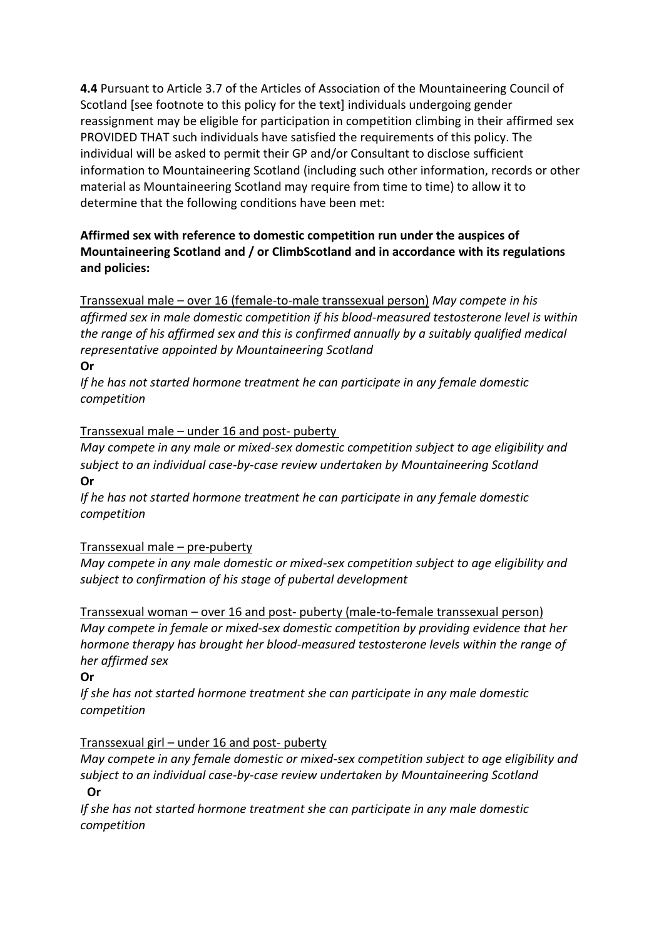**4.4** Pursuant to Article 3.7 of the Articles of Association of the Mountaineering Council of Scotland [see footnote to this policy for the text] individuals undergoing gender reassignment may be eligible for participation in competition climbing in their affirmed sex PROVIDED THAT such individuals have satisfied the requirements of this policy. The individual will be asked to permit their GP and/or Consultant to disclose sufficient information to Mountaineering Scotland (including such other information, records or other material as Mountaineering Scotland may require from time to time) to allow it to determine that the following conditions have been met:

# **Affirmed sex with reference to domestic competition run under the auspices of Mountaineering Scotland and / or ClimbScotland and in accordance with its regulations and policies:**

Transsexual male – over 16 (female-to-male transsexual person) *May compete in his affirmed sex in male domestic competition if his blood-measured testosterone level is within the range of his affirmed sex and this is confirmed annually by a suitably qualified medical representative appointed by Mountaineering Scotland* 

### **Or**

*If he has not started hormone treatment he can participate in any female domestic competition* 

### Transsexual male – under 16 and post- puberty

*May compete in any male or mixed-sex domestic competition subject to age eligibility and subject to an individual case-by-case review undertaken by Mountaineering Scotland* **Or** 

*If he has not started hormone treatment he can participate in any female domestic competition* 

# Transsexual male – pre-puberty

*May compete in any male domestic or mixed-sex competition subject to age eligibility and subject to confirmation of his stage of pubertal development*

Transsexual woman – over 16 and post- puberty (male-to-female transsexual person) *May compete in female or mixed-sex domestic competition by providing evidence that her hormone therapy has brought her blood-measured testosterone levels within the range of her affirmed sex*

# **Or**

*If she has not started hormone treatment she can participate in any male domestic competition* 

# Transsexual girl – under 16 and post- puberty

*May compete in any female domestic or mixed-sex competition subject to age eligibility and subject to an individual case-by-case review undertaken by Mountaineering Scotland*

### **Or**

*If she has not started hormone treatment she can participate in any male domestic competition*